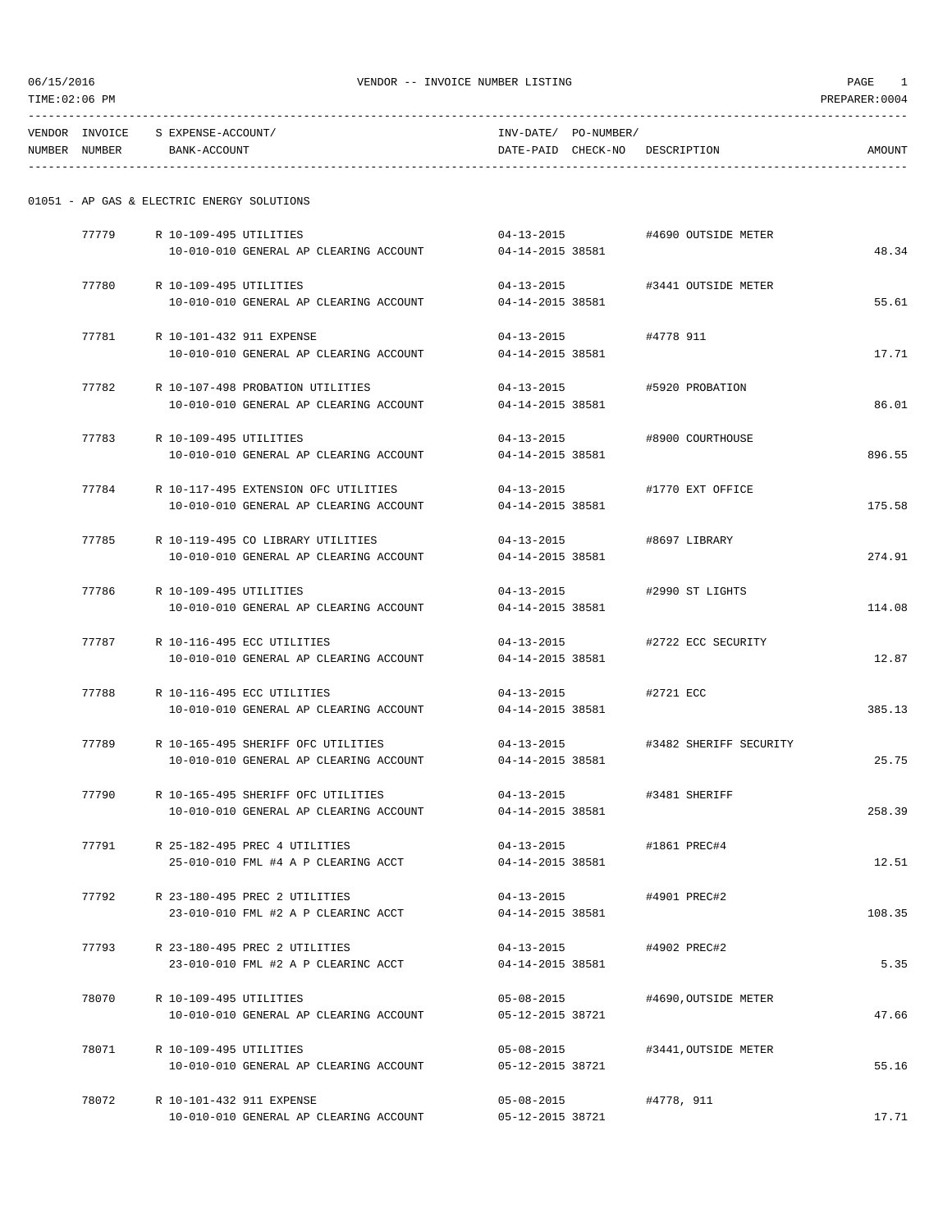| 06/15/2016<br>TIME:02:06 PM |               | VENDOR -- INVOICE NUMBER LISTING           |                                          |                  |                      |                                |        |  |
|-----------------------------|---------------|--------------------------------------------|------------------------------------------|------------------|----------------------|--------------------------------|--------|--|
|                             |               | VENDOR INVOICE S EXPENSE-ACCOUNT/          |                                          |                  | INV-DATE/ PO-NUMBER/ |                                |        |  |
|                             | NUMBER NUMBER | BANK-ACCOUNT                               |                                          |                  |                      | DATE-PAID CHECK-NO DESCRIPTION | AMOUNT |  |
|                             |               | 01051 - AP GAS & ELECTRIC ENERGY SOLUTIONS |                                          |                  |                      |                                |        |  |
|                             | 77779         | R 10-109-495 UTILITIES                     |                                          |                  |                      | 04-13-2015 #4690 OUTSIDE METER |        |  |
|                             |               |                                            | 10-010-010 GENERAL AP CLEARING ACCOUNT   | 04-14-2015 38581 |                      |                                | 48.34  |  |
|                             | 77780         | R 10-109-495 UTILITIES                     |                                          | $04 - 13 - 2015$ |                      | #3441 OUTSIDE METER            |        |  |
|                             |               |                                            | 10-010-010 GENERAL AP CLEARING ACCOUNT   | 04-14-2015 38581 |                      |                                | 55.61  |  |
|                             | 77781         | R 10-101-432 911 EXPENSE                   |                                          | $04 - 13 - 2015$ |                      | #4778 911                      |        |  |
|                             |               |                                            | 10-010-010 GENERAL AP CLEARING ACCOUNT   | 04-14-2015 38581 |                      |                                | 17.71  |  |
|                             | 77782         |                                            | R 10-107-498 PROBATION UTILITIES         | $04 - 13 - 2015$ |                      | #5920 PROBATION                |        |  |
|                             |               |                                            | 10-010-010 GENERAL AP CLEARING ACCOUNT   | 04-14-2015 38581 |                      |                                | 86.01  |  |
|                             | 77783         | R 10-109-495 UTILITIES                     |                                          | $04 - 13 - 2015$ |                      | #8900 COURTHOUSE               |        |  |
|                             |               |                                            | 10-010-010 GENERAL AP CLEARING ACCOUNT   | 04-14-2015 38581 |                      |                                | 896.55 |  |
|                             | 77784         |                                            | R 10-117-495 EXTENSION OFC UTILITIES     | $04 - 13 - 2015$ |                      | #1770 EXT OFFICE               |        |  |
|                             |               |                                            | 10-010-010 GENERAL AP CLEARING ACCOUNT   | 04-14-2015 38581 |                      |                                | 175.58 |  |
|                             | 77785         |                                            | R 10-119-495 CO LIBRARY UTILITIES        | $04 - 13 - 2015$ |                      | #8697 LIBRARY                  |        |  |
|                             |               |                                            | 10-010-010 GENERAL AP CLEARING ACCOUNT   | 04-14-2015 38581 |                      |                                | 274.91 |  |
|                             | 77786         | R 10-109-495 UTILITIES                     |                                          | $04 - 13 - 2015$ |                      | #2990 ST LIGHTS                |        |  |
|                             |               |                                            | 10-010-010 GENERAL AP CLEARING ACCOUNT   | 04-14-2015 38581 |                      |                                | 114.08 |  |
|                             | 77787         |                                            | R 10-116-495 ECC UTILITIES               | $04 - 13 - 2015$ |                      | #2722 ECC SECURITY             |        |  |
|                             |               |                                            | 10-010-010 GENERAL AP CLEARING ACCOUNT   | 04-14-2015 38581 |                      |                                | 12.87  |  |
|                             | 77788         | R 10-116-495 ECC UTILITIES                 |                                          | $04 - 13 - 2015$ |                      | #2721 ECC                      |        |  |
|                             |               |                                            | 10-010-010 GENERAL AP CLEARING ACCOUNT   | 04-14-2015 38581 |                      |                                | 385.13 |  |
|                             | 77789         |                                            | R 10-165-495 SHERIFF OFC UTILITIES       | $04 - 13 - 2015$ |                      | #3482 SHERIFF SECURITY         |        |  |
|                             |               |                                            | 10-010-010 GENERAL AP CLEARING ACCOUNT   | 04-14-2015 38581 |                      |                                | 25.75  |  |
|                             |               |                                            | 77790 R 10-165-495 SHERIFF OFC UTILITIES |                  |                      | 04-13-2015 #3481 SHERIFF       |        |  |
|                             |               |                                            | 10-010-010 GENERAL AP CLEARING ACCOUNT   | 04-14-2015 38581 |                      |                                | 258.39 |  |
|                             | 77791         |                                            | R 25-182-495 PREC 4 UTILITIES            | $04 - 13 - 2015$ |                      | #1861 PREC#4                   |        |  |
|                             |               |                                            | 25-010-010 FML #4 A P CLEARING ACCT      | 04-14-2015 38581 |                      |                                | 12.51  |  |
|                             | 77792         |                                            | R 23-180-495 PREC 2 UTILITIES            |                  |                      | 04-13-2015 #4901 PREC#2        |        |  |
|                             |               |                                            | 23-010-010 FML #2 A P CLEARINC ACCT      | 04-14-2015 38581 |                      |                                | 108.35 |  |
|                             | 77793         |                                            | R 23-180-495 PREC 2 UTILITIES            | $04 - 13 - 2015$ |                      | #4902 PREC#2                   |        |  |
|                             |               |                                            | 23-010-010 FML #2 A P CLEARINC ACCT      | 04-14-2015 38581 |                      |                                | 5.35   |  |
|                             |               | 78070 R 10-109-495 UTILITIES               |                                          | $05 - 08 - 2015$ |                      | #4690,OUTSIDE METER            |        |  |
|                             |               |                                            | 10-010-010 GENERAL AP CLEARING ACCOUNT   | 05-12-2015 38721 |                      |                                | 47.66  |  |
|                             | 78071         | R 10-109-495 UTILITIES                     |                                          | 05-08-2015       |                      | #3441,OUTSIDE METER            |        |  |
|                             |               |                                            | 10-010-010 GENERAL AP CLEARING ACCOUNT   | 05-12-2015 38721 |                      |                                | 55.16  |  |
|                             | 78072         | R 10-101-432 911 EXPENSE                   |                                          | $05 - 08 - 2015$ |                      | #4778, 911                     |        |  |
|                             |               |                                            | 10-010-010 GENERAL AP CLEARING ACCOUNT   | 05-12-2015 38721 |                      |                                | 17.71  |  |
|                             |               |                                            |                                          |                  |                      |                                |        |  |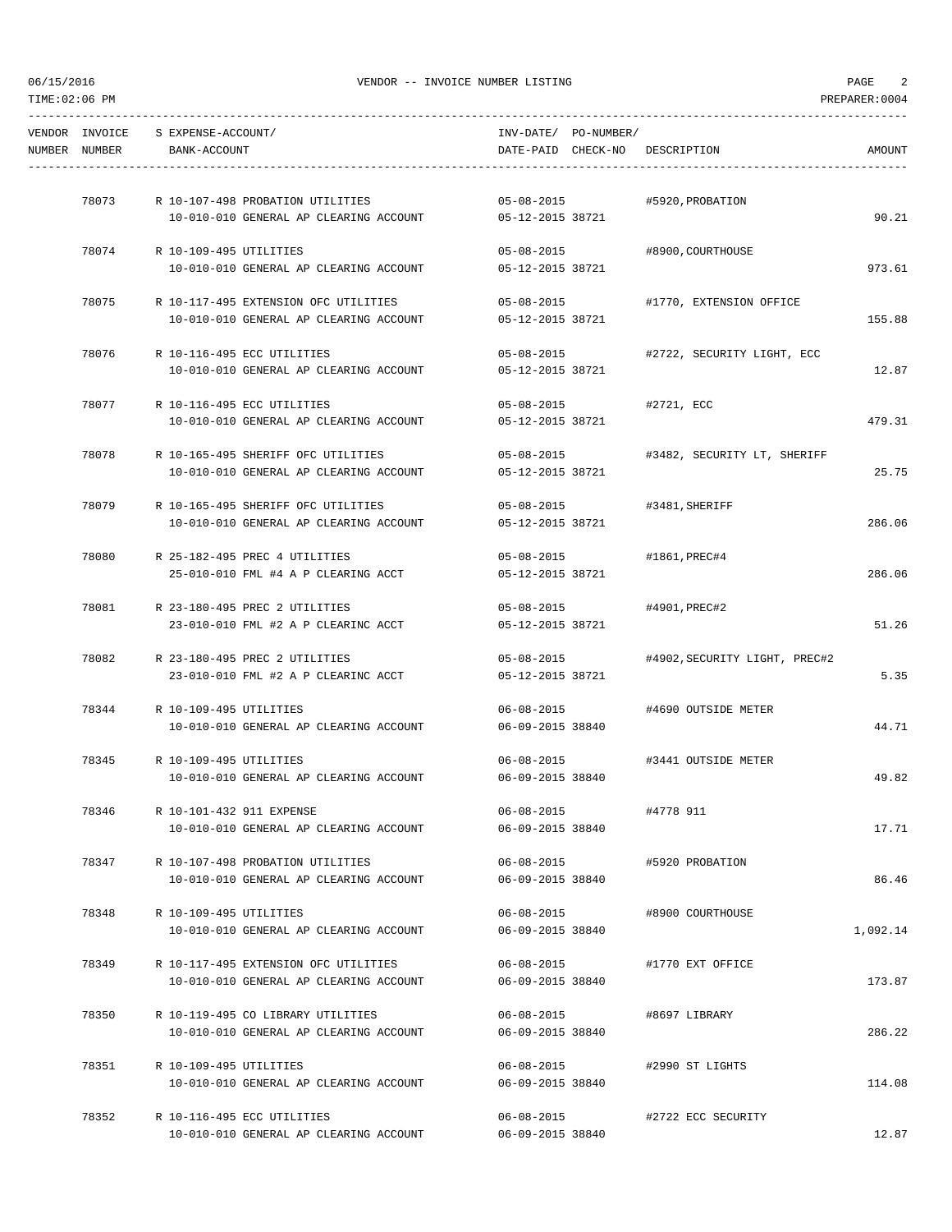|               | VENDOR INVOICE S EXPENSE-ACCOUNT/                                           | INV-DATE/ PO-NUMBER/                 |                                        |          |
|---------------|-----------------------------------------------------------------------------|--------------------------------------|----------------------------------------|----------|
| NUMBER NUMBER | BANK-ACCOUNT                                                                | DATE-PAID CHECK-NO DESCRIPTION       |                                        | AMOUNT   |
|               | 78073 R 10-107-498 PROBATION UTILITIES                                      |                                      | #5920, PROBATION                       |          |
|               | 10-010-010 GENERAL AP CLEARING ACCOUNT                                      | $05 - 08 - 2015$<br>05-12-2015 38721 |                                        | 90.21    |
|               | 78074 R 10-109-495 UTILITIES                                                | 05-08-2015 #8900, COURTHOUSE         |                                        |          |
|               | 10-010-010 GENERAL AP CLEARING ACCOUNT                                      | 05-12-2015 38721                     |                                        | 973.61   |
| 78075         | R 10-117-495 EXTENSION OFC UTILITIES                                        | $05 - 08 - 2015$                     | #1770, EXTENSION OFFICE                |          |
|               | 10-010-010 GENERAL AP CLEARING ACCOUNT                                      | 05-12-2015 38721                     |                                        | 155.88   |
|               | 78076 R 10-116-495 ECC UTILITIES                                            |                                      | 05-08-2015 #2722, SECURITY LIGHT, ECC  |          |
|               | 10-010-010 GENERAL AP CLEARING ACCOUNT                                      | 05-12-2015 38721                     |                                        | 12.87    |
| 78077         | R 10-116-495 ECC UTILITIES                                                  | $05 - 08 - 2015$                     | #2721, ECC                             |          |
|               | 10-010-010 GENERAL AP CLEARING ACCOUNT                                      | 05-12-2015 38721                     |                                        | 479.31   |
| 78078         | R 10-165-495 SHERIFF OFC UTILITIES                                          |                                      | 05-08-2015 #3482, SECURITY LT, SHERIFF |          |
|               | 10-010-010 GENERAL AP CLEARING ACCOUNT                                      | 05-12-2015 38721                     |                                        | 25.75    |
|               | 78079 R 10-165-495 SHERIFF OFC UTILITIES                                    | $05 - 08 - 2015$                     | #3481, SHERIFF                         |          |
|               | 10-010-010 GENERAL AP CLEARING ACCOUNT                                      | 05-12-2015 38721                     |                                        | 286.06   |
| 78080         | R 25-182-495 PREC 4 UTILITIES                                               | 05-08-2015 #1861, PREC#4             |                                        |          |
|               | 25-010-010 FML #4 A P CLEARING ACCT                                         | 05-12-2015 38721                     |                                        | 286.06   |
| 78081         | R 23-180-495 PREC 2 UTILITIES                                               | 05-08-2015 #4901, PREC#2             |                                        |          |
|               | 23-010-010 FML #2 A P CLEARINC ACCT                                         | 05-12-2015 38721                     |                                        | 51.26    |
| 78082         | R 23-180-495 PREC 2 UTILITIES                                               | $05 - 08 - 2015$                     | #4902,SECURITY LIGHT, PREC#2           |          |
|               | 23-010-010 FML #2 A P CLEARINC ACCT                                         | 05-12-2015 38721                     |                                        | 5.35     |
|               | 78344 R 10-109-495 UTILITIES                                                |                                      | 06-08-2015 #4690 OUTSIDE METER         |          |
|               | 10-010-010 GENERAL AP CLEARING ACCOUNT                                      | 06-09-2015 38840                     |                                        | 44.71    |
|               | 78345 R 10-109-495 UTILITIES                                                | $06 - 08 - 2015$                     | #3441 OUTSIDE METER                    |          |
|               | 10-010-010 GENERAL AP CLEARING ACCOUNT                                      | 06-09-2015 38840                     |                                        | 49.82    |
| 78346         | R 10-101-432 911 EXPENSE                                                    | $06 - 08 - 2015$                     | #4778 911                              |          |
|               | 10-010-010 GENERAL AP CLEARING ACCOUNT                                      | 06-09-2015 38840                     |                                        | 17.71    |
| 78347         | R 10-107-498 PROBATION UTILITIES                                            | 06-08-2015                           | #5920 PROBATION                        |          |
|               | 10-010-010 GENERAL AP CLEARING ACCOUNT                                      | 06-09-2015 38840                     |                                        | 86.46    |
| 78348         | R 10-109-495 UTILITIES                                                      | $06 - 08 - 2015$                     | #8900 COURTHOUSE                       |          |
|               | 10-010-010 GENERAL AP CLEARING ACCOUNT                                      | 06-09-2015 38840                     |                                        | 1,092.14 |
| 78349         | R 10-117-495 EXTENSION OFC UTILITIES                                        | 06-08-2015                           | #1770 EXT OFFICE                       | 173.87   |
|               | 10-010-010 GENERAL AP CLEARING ACCOUNT                                      | 06-09-2015 38840                     |                                        |          |
| 78350         | R 10-119-495 CO LIBRARY UTILITIES<br>10-010-010 GENERAL AP CLEARING ACCOUNT | $06 - 08 - 2015$<br>06-09-2015 38840 | #8697 LIBRARY                          | 286.22   |
|               |                                                                             |                                      |                                        |          |
| 78351         | R 10-109-495 UTILITIES<br>10-010-010 GENERAL AP CLEARING ACCOUNT            | $06 - 08 - 2015$<br>06-09-2015 38840 | #2990 ST LIGHTS                        | 114.08   |
|               |                                                                             |                                      |                                        |          |
| 78352         | R 10-116-495 ECC UTILITIES<br>10-010-010 GENERAL AP CLEARING ACCOUNT        | $06 - 08 - 2015$<br>06-09-2015 38840 | #2722 ECC SECURITY                     | 12.87    |
|               |                                                                             |                                      |                                        |          |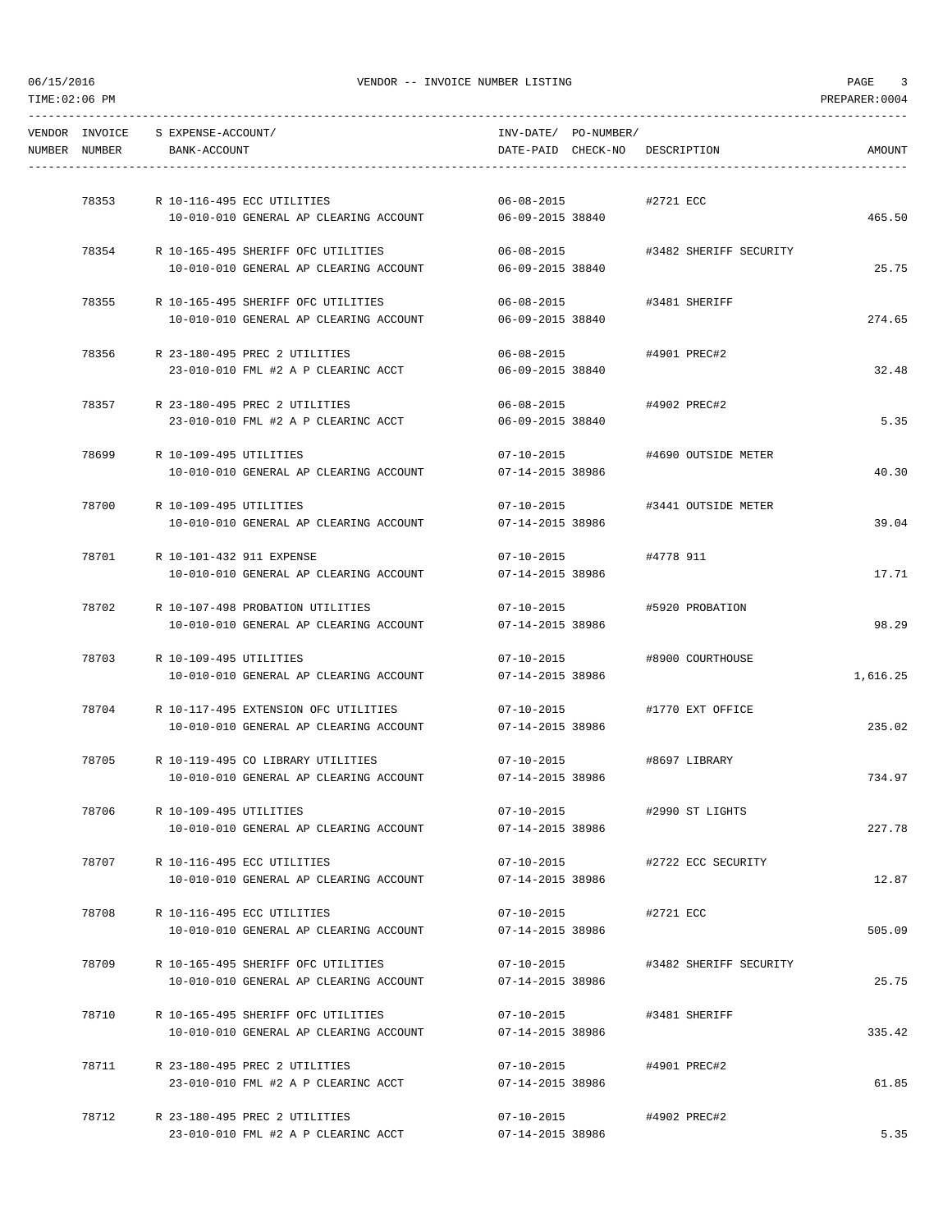-----------------------------------------------------------------------------------------------------------------------------------

VENDOR INVOICE S EXPENSE-ACCOUNT/ INV-DATE/ PO-NUMBER/ NUMBER NUMBER BANK-ACCOUNT DATE-PAID CHECK-NO DESCRIPTION AMOUNT ----------------------------------------------------------------------------------------------------------------------------------- 78353 R 10-116-495 ECC UTILITIES 06-08-2015 #2721 ECC 10-010-010 GENERAL AP CLEARING ACCOUNT 06-09-2015 38840 465.50 78354 R 10-165-495 SHERIFF OFC UTILITIES 06-08-2015 #3482 SHERIFF SECURITY 10-010-010 GENERAL AP CLEARING ACCOUNT 06-09-2015 38840 25.75 78355 R 10-165-495 SHERIFF OFC UTILITIES 06-08-2015 #3481 SHERIFF 10-010-010 GENERAL AP CLEARING ACCOUNT 06-09-2015 38840 274.65 78356 R 23-180-495 PREC 2 UTILITIES 06-08-2015 #4901 PREC#2 23-010-010 FML #2 A P CLEARINC ACCT 06-09-2015 38840 32.48 78357 R 23-180-495 PREC 2 UTILITIES 06-08-2015 #4902 PREC#2 23-010-010 FML #2 A P CLEARINC ACCT 06-09-2015 38840 5.35 78699 R 10-109-495 UTILITIES 07-10-2015 #4690 OUTSIDE METER 10-010-010 GENERAL AP CLEARING ACCOUNT 07-14-2015 38986 40.30 78700 R 10-109-495 UTILITIES 07-10-2015 #3441 OUTSIDE METER 10-010-010 GENERAL AP CLEARING ACCOUNT 07-14-2015 38986 39.04 78701 R 10-101-432 911 EXPENSE 07-10-2015 #4778 911 10-010-010 GENERAL AP CLEARING ACCOUNT 07-14-2015 38986 17.71 78702 R 10-107-498 PROBATION UTILITIES 07-10-2015 #5920 PROBATION 10-010-010 GENERAL AP CLEARING ACCOUNT 07-14-2015 38986 98.29 78703 R 10-109-495 UTILITIES 07-10-2015 #8900 COURTHOUSE 10-010-010 GENERAL AP CLEARING ACCOUNT 07-14-2015 38986 1,616.25 78704 R 10-117-495 EXTENSION OFC UTILITIES 07-10-2015 #1770 EXT OFFICE 10-010-010 GENERAL AP CLEARING ACCOUNT 07-14-2015 38986 235.02 78705 R 10-119-495 CO LIBRARY UTILITIES 07-10-2015 #8697 LIBRARY 10-010-010 GENERAL AP CLEARING ACCOUNT 07-14-2015 38986 734.97 78706 R 10-109-495 UTILITIES 07-10-2015 #2990 ST LIGHTS 10-010-010 GENERAL AP CLEARING ACCOUNT 07-14-2015 38986 227.78 78707 R 10-116-495 ECC UTILITIES 07-10-2015 #2722 ECC SECURITY 10-010-010 GENERAL AP CLEARING ACCOUNT 07-14-2015 38986 12.87 78708 R 10-116-495 ECC UTILITIES 07-10-2015 #2721 ECC 10-010-010 GENERAL AP CLEARING ACCOUNT 07-14-2015 38986 505.09 78709 R 10-165-495 SHERIFF OFC UTILITIES 07-10-2015 #3482 SHERIFF SECURITY 10-010-010 GENERAL AP CLEARING ACCOUNT 07-14-2015 38986 25.75 78710 R 10-165-495 SHERIFF OFC UTILITIES 07-10-2015 #3481 SHERIFF 10-010-010 GENERAL AP CLEARING ACCOUNT 07-14-2015 38986 335.42 78711 R 23-180-495 PREC 2 UTILITIES 07-10-2015 #4901 PREC#2 23-010-010 FML #2 A P CLEARINC ACCT 07-14-2015 38986 61.85 78712 R 23-180-495 PREC 2 UTILITIES 07-10-2015 #4902 PREC#2 23-010-010 FML #2 A P CLEARINC ACCT 07-14-2015 38986 5.35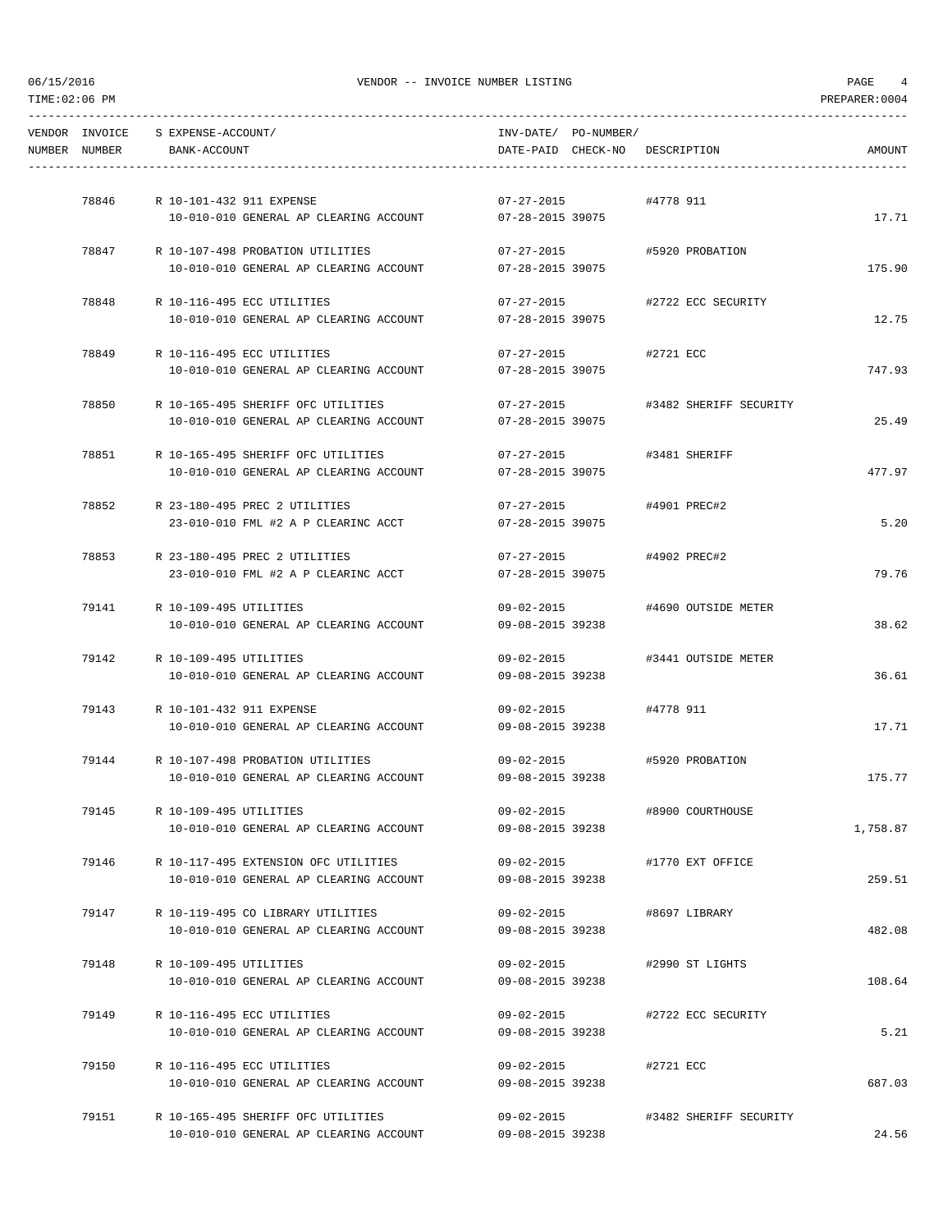| NUMBER NUMBER | VENDOR INVOICE S EXPENSE-ACCOUNT/<br>BANK-ACCOUNT |                                                         | INV-DATE/ PO-NUMBER/ |                      | DATE-PAID CHECK-NO DESCRIPTION | AMOUNT   |
|---------------|---------------------------------------------------|---------------------------------------------------------|----------------------|----------------------|--------------------------------|----------|
|               |                                                   |                                                         |                      |                      |                                |          |
|               | 78846 R 10-101-432 911 EXPENSE                    |                                                         | $07 - 27 - 2015$     |                      | #4778 911                      |          |
|               |                                                   | 10-010-010 GENERAL AP CLEARING ACCOUNT                  | 07-28-2015 39075     |                      |                                | 17.71    |
|               |                                                   | 78847 R 10-107-498 PROBATION UTILITIES                  |                      |                      | 07-27-2015 #5920 PROBATION     |          |
|               |                                                   | 10-010-010 GENERAL AP CLEARING ACCOUNT 07-28-2015 39075 |                      |                      |                                | 175.90   |
| 78848         |                                                   | R 10-116-495 ECC UTILITIES                              | $07 - 27 - 2015$     |                      | #2722 ECC SECURITY             |          |
|               |                                                   | 10-010-010 GENERAL AP CLEARING ACCOUNT                  | 07-28-2015 39075     |                      |                                | 12.75    |
|               |                                                   | 78849 R 10-116-495 ECC UTILITIES                        | $07 - 27 - 2015$     |                      | #2721 ECC                      |          |
|               |                                                   | 10-010-010 GENERAL AP CLEARING ACCOUNT                  | 07-28-2015 39075     |                      |                                | 747.93   |
| 78850         |                                                   | R 10-165-495 SHERIFF OFC UTILITIES                      | $07 - 27 - 2015$     |                      | #3482 SHERIFF SECURITY         |          |
|               |                                                   | 10-010-010 GENERAL AP CLEARING ACCOUNT                  | 07-28-2015 39075     |                      |                                | 25.49    |
| 78851         |                                                   | R 10-165-495 SHERIFF OFC UTILITIES                      | $07 - 27 - 2015$     |                      | #3481 SHERIFF                  |          |
|               |                                                   | 10-010-010 GENERAL AP CLEARING ACCOUNT                  | 07-28-2015 39075     |                      |                                | 477.97   |
|               |                                                   | 78852 R 23-180-495 PREC 2 UTILITIES                     |                      |                      | 07-27-2015 #4901 PREC#2        |          |
|               |                                                   | 23-010-010 FML #2 A P CLEARINC ACCT                     | 07-28-2015 39075     |                      |                                | 5.20     |
|               |                                                   | 78853 R 23-180-495 PREC 2 UTILITIES                     |                      |                      | 07-27-2015 #4902 PREC#2        |          |
|               |                                                   | 23-010-010 FML #2 A P CLEARINC ACCT                     | 07-28-2015 39075     |                      |                                | 79.76    |
|               | 79141 R 10-109-495 UTILITIES                      |                                                         |                      |                      | 09-02-2015 #4690 OUTSIDE METER |          |
|               |                                                   | 10-010-010 GENERAL AP CLEARING ACCOUNT                  | 09-08-2015 39238     |                      |                                | 38.62    |
| 79142         | R 10-109-495 UTILITIES                            |                                                         | $09 - 02 - 2015$     |                      | #3441 OUTSIDE METER            |          |
|               |                                                   | 10-010-010 GENERAL AP CLEARING ACCOUNT                  | 09-08-2015 39238     |                      |                                | 36.61    |
|               | 79143 R 10-101-432 911 EXPENSE                    |                                                         |                      | 09-02-2015 #4778 911 |                                |          |
|               |                                                   | 10-010-010 GENERAL AP CLEARING ACCOUNT                  | 09-08-2015 39238     |                      |                                | 17.71    |
|               |                                                   | 79144 R 10-107-498 PROBATION UTILITIES                  | $09 - 02 - 2015$     |                      | #5920 PROBATION                |          |
|               |                                                   | 10-010-010 GENERAL AP CLEARING ACCOUNT                  | 09-08-2015 39238     |                      |                                | 175.77   |
| 79145         | R 10-109-495 UTILITIES                            |                                                         | $09 - 02 - 2015$     |                      | #8900 COURTHOUSE               |          |
|               |                                                   | 10-010-010 GENERAL AP CLEARING ACCOUNT                  | 09-08-2015 39238     |                      |                                | 1,758.87 |
| 79146         |                                                   | R 10-117-495 EXTENSION OFC UTILITIES                    | 09-02-2015           |                      | #1770 EXT OFFICE               |          |
|               |                                                   | 10-010-010 GENERAL AP CLEARING ACCOUNT                  | 09-08-2015 39238     |                      |                                | 259.51   |
| 79147         |                                                   | R 10-119-495 CO LIBRARY UTILITIES                       | $09 - 02 - 2015$     |                      | #8697 LIBRARY                  |          |
|               |                                                   | 10-010-010 GENERAL AP CLEARING ACCOUNT                  | 09-08-2015 39238     |                      |                                | 482.08   |
| 79148         | R 10-109-495 UTILITIES                            |                                                         | 09-02-2015           |                      | #2990 ST LIGHTS                |          |
|               |                                                   | 10-010-010 GENERAL AP CLEARING ACCOUNT                  | 09-08-2015 39238     |                      |                                | 108.64   |
| 79149         |                                                   | R 10-116-495 ECC UTILITIES                              | 09-02-2015           |                      | #2722 ECC SECURITY             |          |
|               |                                                   | 10-010-010 GENERAL AP CLEARING ACCOUNT                  | 09-08-2015 39238     |                      |                                | 5.21     |
| 79150         |                                                   | R 10-116-495 ECC UTILITIES                              | 09-02-2015           |                      | #2721 ECC                      |          |
|               |                                                   | 10-010-010 GENERAL AP CLEARING ACCOUNT                  | 09-08-2015 39238     |                      |                                | 687.03   |
| 79151         |                                                   | R 10-165-495 SHERIFF OFC UTILITIES                      | 09-02-2015           |                      | #3482 SHERIFF SECURITY         |          |
|               |                                                   | 10-010-010 GENERAL AP CLEARING ACCOUNT                  | 09-08-2015 39238     |                      |                                | 24.56    |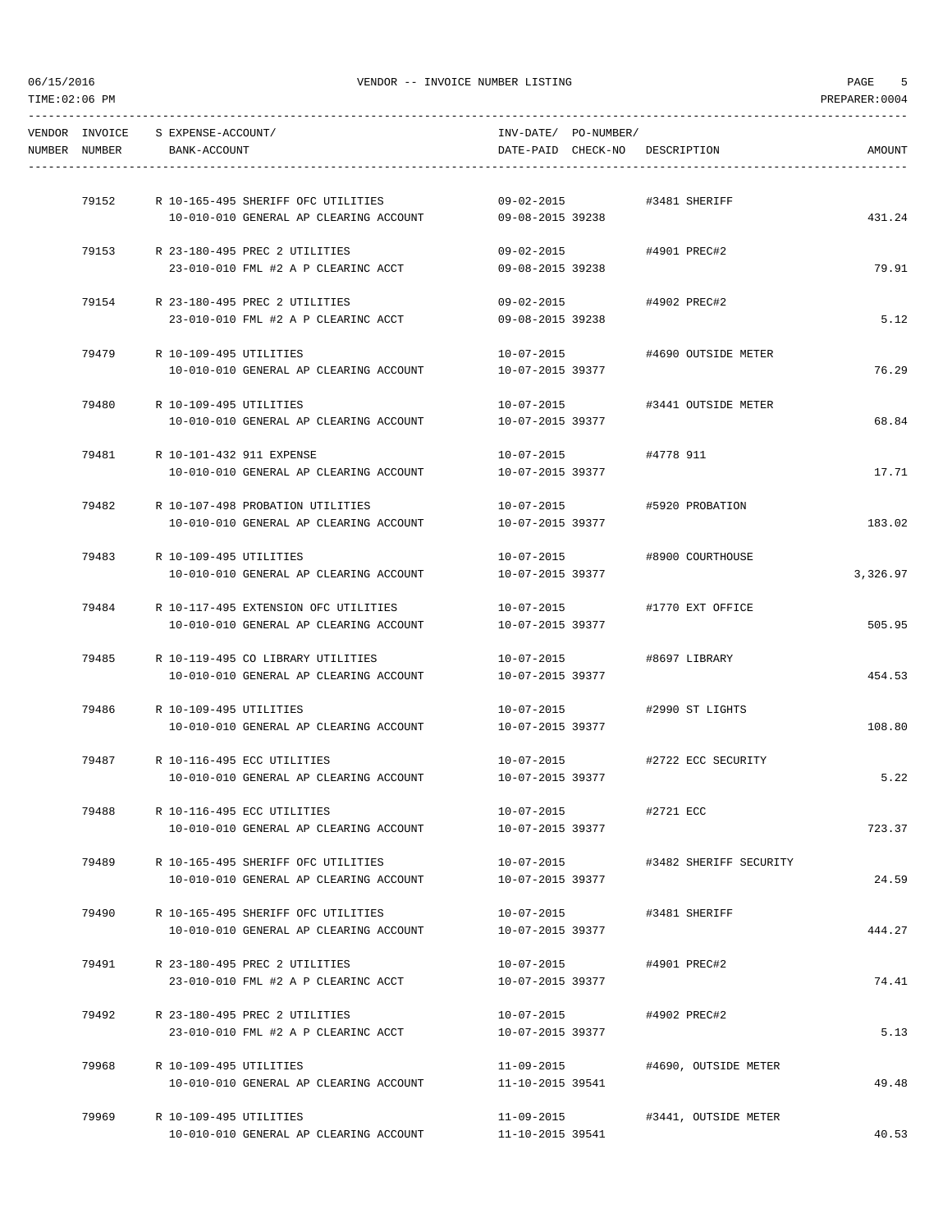----------------------------------------------------------------------------------------------------------------------------------- VENDOR INVOICE S EXPENSE-ACCOUNT/ INV-DATE/ PO-NUMBER/ NUMBER NUMBER BANK-ACCOUNT DATE-PAID CHECK-NO DESCRIPTION AMOUNT ----------------------------------------------------------------------------------------------------------------------------------- 79152 R 10-165-495 SHERIFF OFC UTILITIES 09-02-2015 #3481 SHERIFF 10-010-010 GENERAL AP CLEARING ACCOUNT 09-08-2015 39238 431.24 79153 R 23-180-495 PREC 2 UTILITIES 09-02-2015 #4901 PREC#2 23-010-010 FML #2 A P CLEARINC ACCT 09-08-2015 39238 79.91 79154 R 23-180-495 PREC 2 UTILITIES 09-02-2015 #4902 PREC#2 23-010-010 FML #2 A P CLEARINC ACCT 09-08-2015 39238 5.12 79479 R 10-109-495 UTILITIES 10-07-2015 #4690 OUTSIDE METER 10-010-010 GENERAL AP CLEARING ACCOUNT 10-07-2015 39377 76.29 79480 R 10-109-495 UTILITIES 10-07-2015 #3441 OUTSIDE METER 10-010-010 GENERAL AP CLEARING ACCOUNT 10-07-2015 39377 68.84 79481 R 10-101-432 911 EXPENSE 10-07-2015 #4778 911 10-010-010 GENERAL AP CLEARING ACCOUNT 10-07-2015 39377 17.71 17.71 17.71 79482 R 10-107-498 PROBATION UTILITIES 10-07-2015 #5920 PROBATION 10-010-010 GENERAL AP CLEARING ACCOUNT 10-07-2015 39377 183.02 79483 R 10-109-495 UTILITIES 10-07-2015 #8900 COURTHOUSE 10-010-010 GENERAL AP CLEARING ACCOUNT 10-07-2015 39377 3,326.97 79484 R 10-117-495 EXTENSION OFC UTILITIES 10-07-2015 #1770 EXT OFFICE 10-010-010 GENERAL AP CLEARING ACCOUNT 10-07-2015 39377 505.95 79485 R 10-119-495 CO LIBRARY UTILITIES 10-07-2015 #8697 LIBRARY 10-010-010 GENERAL AP CLEARING ACCOUNT 10-07-2015 39377 454.53 79486 R 10-109-495 UTILITIES 10-07-2015 #2990 ST LIGHTS 10-010-010 GENERAL AP CLEARING ACCOUNT 10-07-2015 39377 108.80 79487 R 10-116-495 ECC UTILITIES 10-07-2015 #2722 ECC SECURITY 10-010-010 GENERAL AP CLEARING ACCOUNT 10-07-2015 39377 5.22 79488 R 10-116-495 ECC UTILITIES 10-07-2015 #2721 ECC 10-010-010 GENERAL AP CLEARING ACCOUNT 10-07-2015 39377 723.37 79489 R 10-165-495 SHERIFF OFC UTILITIES 10-07-2015 #3482 SHERIFF SECURITY 10-010-010 GENERAL AP CLEARING ACCOUNT 10-07-2015 39377 24.59 79490 R 10-165-495 SHERIFF OFC UTILITIES 10-07-2015 #3481 SHERIFF 10-010-010 GENERAL AP CLEARING ACCOUNT 10-07-2015 39377 444.27 79491 R 23-180-495 PREC 2 UTILITIES 10-07-2015 #4901 PREC#2 23-010-010 FML #2 A P CLEARINC ACCT 10-07-2015 39377 74.41 79492 R 23-180-495 PREC 2 UTILITIES 10-07-2015 #4902 PREC#2  $23-010-010$  FML #2 A P CLEARINC ACCT  $10-07-2015$  39377 5.13 79968 R 10-109-495 UTILITIES 11-09-2015 #4690, OUTSIDE METER 10-010-010 GENERAL AP CLEARING ACCOUNT 11-10-2015 39541 49.48 79969 R 10-109-495 UTILITIES 11-09-2015 #3441, OUTSIDE METER 10-010-010 GENERAL AP CLEARING ACCOUNT 11-10-2015 39541 40.53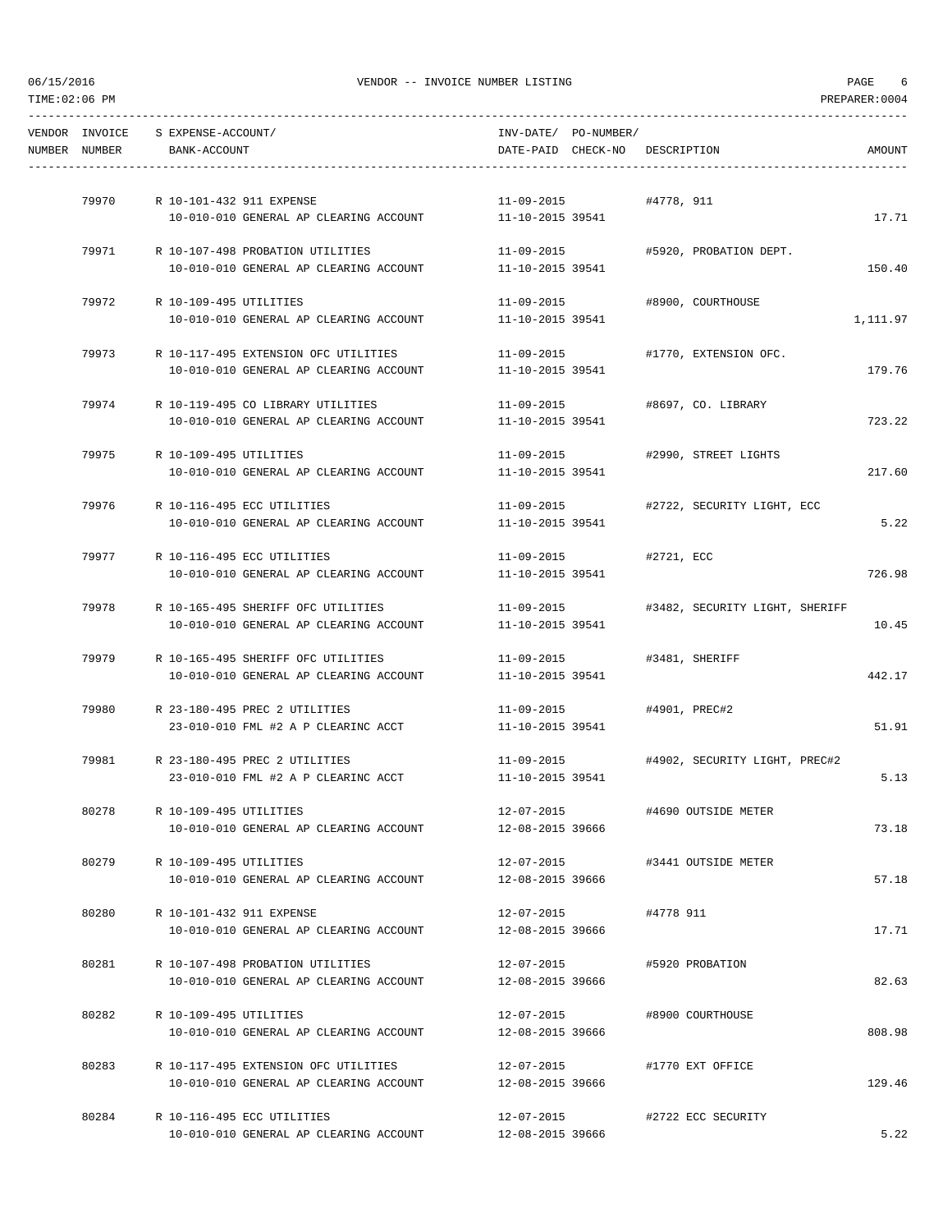| AMOUNT   | DATE-PAID CHECK-NO DESCRIPTION           | INV-DATE/ PO-NUMBER/                 |                                                             |                                            | BANK-ACCOUNT | VENDOR INVOICE S EXPENSE-ACCOUNT/<br>NUMBER NUMBER |  |
|----------|------------------------------------------|--------------------------------------|-------------------------------------------------------------|--------------------------------------------|--------------|----------------------------------------------------|--|
|          |                                          |                                      |                                                             |                                            |              |                                                    |  |
|          |                                          | 11-09-2015 #4778, 911                |                                                             | 79970 R 10-101-432 911 EXPENSE             |              |                                                    |  |
| 17.71    |                                          |                                      | 10-010-010 GENERAL AP CLEARING ACCOUNT 11-10-2015 39541     |                                            |              |                                                    |  |
|          | #5920, PROBATION DEPT.                   | 11-09-2015                           |                                                             | 79971 R 10-107-498 PROBATION UTILITIES     |              |                                                    |  |
| 150.40   |                                          | 11-10-2015 39541                     | 10-010-010 GENERAL AP CLEARING ACCOUNT                      |                                            |              |                                                    |  |
|          | 11-09-2015 #8900, COURTHOUSE             |                                      |                                                             | 79972 R 10-109-495 UTILITIES               |              |                                                    |  |
| 1,111.97 |                                          |                                      | $10-010-010$ GENERAL AP CLEARING ACCOUNT $11-10-2015$ 39541 |                                            |              |                                                    |  |
|          |                                          |                                      |                                                             |                                            |              |                                                    |  |
| 179.76   | #1770, EXTENSION OFC.                    | $11 - 09 - 2015$<br>11-10-2015 39541 | 10-010-010 GENERAL AP CLEARING ACCOUNT                      | 79973 R 10-117-495 EXTENSION OFC UTILITIES |              |                                                    |  |
|          |                                          |                                      |                                                             |                                            |              |                                                    |  |
|          | 11-09-2015 #8697, CO. LIBRARY            |                                      |                                                             | 79974 R 10-119-495 CO LIBRARY UTILITIES    |              |                                                    |  |
| 723.22   |                                          |                                      | $10-010-010$ GENERAL AP CLEARING ACCOUNT $11-10-2015$ 39541 |                                            |              |                                                    |  |
|          | #2990, STREET LIGHTS                     | 11-09-2015                           |                                                             | 79975 R 10-109-495 UTILITIES               |              |                                                    |  |
| 217.60   |                                          | 11-10-2015 39541                     | 10-010-010 GENERAL AP CLEARING ACCOUNT                      |                                            |              |                                                    |  |
|          |                                          |                                      |                                                             |                                            |              |                                                    |  |
| 5.22     | 11-09-2015 #2722, SECURITY LIGHT, ECC    | 11-10-2015 39541                     | 10-010-010 GENERAL AP CLEARING ACCOUNT                      | 79976 R 10-116-495 ECC UTILITIES           |              |                                                    |  |
|          |                                          |                                      |                                                             |                                            |              |                                                    |  |
|          | 11-09-2015 #2721, ECC                    |                                      |                                                             | 79977 R 10-116-495 ECC UTILITIES           |              |                                                    |  |
| 726.98   |                                          | 11-10-2015 39541                     | 10-010-010 GENERAL AP CLEARING ACCOUNT                      |                                            |              |                                                    |  |
|          | #3482, SECURITY LIGHT, SHERIFF           | 11-09-2015                           |                                                             | R 10-165-495 SHERIFF OFC UTILITIES         |              | 79978                                              |  |
| 10.45    |                                          | 11-10-2015 39541                     | 10-010-010 GENERAL AP CLEARING ACCOUNT                      |                                            |              |                                                    |  |
|          | 11-09-2015 #3481, SHERIFF                |                                      |                                                             | 79979 R 10-165-495 SHERIFF OFC UTILITIES   |              |                                                    |  |
| 442.17   |                                          |                                      | $10-010-010$ GENERAL AP CLEARING ACCOUNT $11-10-2015$ 39541 |                                            |              |                                                    |  |
|          |                                          |                                      |                                                             |                                            |              |                                                    |  |
| 51.91    |                                          | 11-10-2015 39541                     | 23-010-010 FML #2 A P CLEARINC ACCT                         | 79980 R 23-180-495 PREC 2 UTILITIES        |              |                                                    |  |
|          |                                          |                                      |                                                             |                                            |              |                                                    |  |
|          | 11-09-2015 +4902, SECURITY LIGHT, PREC#2 |                                      |                                                             | 79981 R 23-180-495 PREC 2 UTILITIES        |              |                                                    |  |
| 5.13     |                                          |                                      | 23-010-010 FML #2 A P CLEARINC ACCT 11-10-2015 39541        |                                            |              |                                                    |  |
|          | #4690 OUTSIDE METER                      | $12 - 07 - 2015$                     |                                                             | R 10-109-495 UTILITIES                     |              | 80278                                              |  |
| 73.18    |                                          | 12-08-2015 39666                     | 10-010-010 GENERAL AP CLEARING ACCOUNT                      |                                            |              |                                                    |  |
|          | #3441 OUTSIDE METER                      | 12-07-2015                           |                                                             | R 10-109-495 UTILITIES                     |              | 80279                                              |  |
| 57.18    |                                          | 12-08-2015 39666                     | 10-010-010 GENERAL AP CLEARING ACCOUNT                      |                                            |              |                                                    |  |
|          |                                          |                                      |                                                             |                                            |              |                                                    |  |
| 17.71    | #4778 911                                | 12-07-2015<br>12-08-2015 39666       | 10-010-010 GENERAL AP CLEARING ACCOUNT                      | R 10-101-432 911 EXPENSE                   |              | 80280                                              |  |
|          |                                          |                                      |                                                             |                                            |              |                                                    |  |
|          | #5920 PROBATION                          | 12-07-2015                           |                                                             | R 10-107-498 PROBATION UTILITIES           |              | 80281                                              |  |
| 82.63    |                                          | 12-08-2015 39666                     | 10-010-010 GENERAL AP CLEARING ACCOUNT                      |                                            |              |                                                    |  |
|          | #8900 COURTHOUSE                         | 12-07-2015                           |                                                             | R 10-109-495 UTILITIES                     |              | 80282                                              |  |
| 808.98   |                                          | 12-08-2015 39666                     | 10-010-010 GENERAL AP CLEARING ACCOUNT                      |                                            |              |                                                    |  |
|          | #1770 EXT OFFICE                         | 12-07-2015                           |                                                             | R 10-117-495 EXTENSION OFC UTILITIES       |              | 80283                                              |  |
| 129.46   |                                          | 12-08-2015 39666                     | 10-010-010 GENERAL AP CLEARING ACCOUNT                      |                                            |              |                                                    |  |
|          |                                          |                                      |                                                             |                                            |              |                                                    |  |
| 5.22     | #2722 ECC SECURITY                       | 12-07-2015<br>12-08-2015 39666       | 10-010-010 GENERAL AP CLEARING ACCOUNT                      | R 10-116-495 ECC UTILITIES                 |              | 80284                                              |  |
|          |                                          |                                      |                                                             |                                            |              |                                                    |  |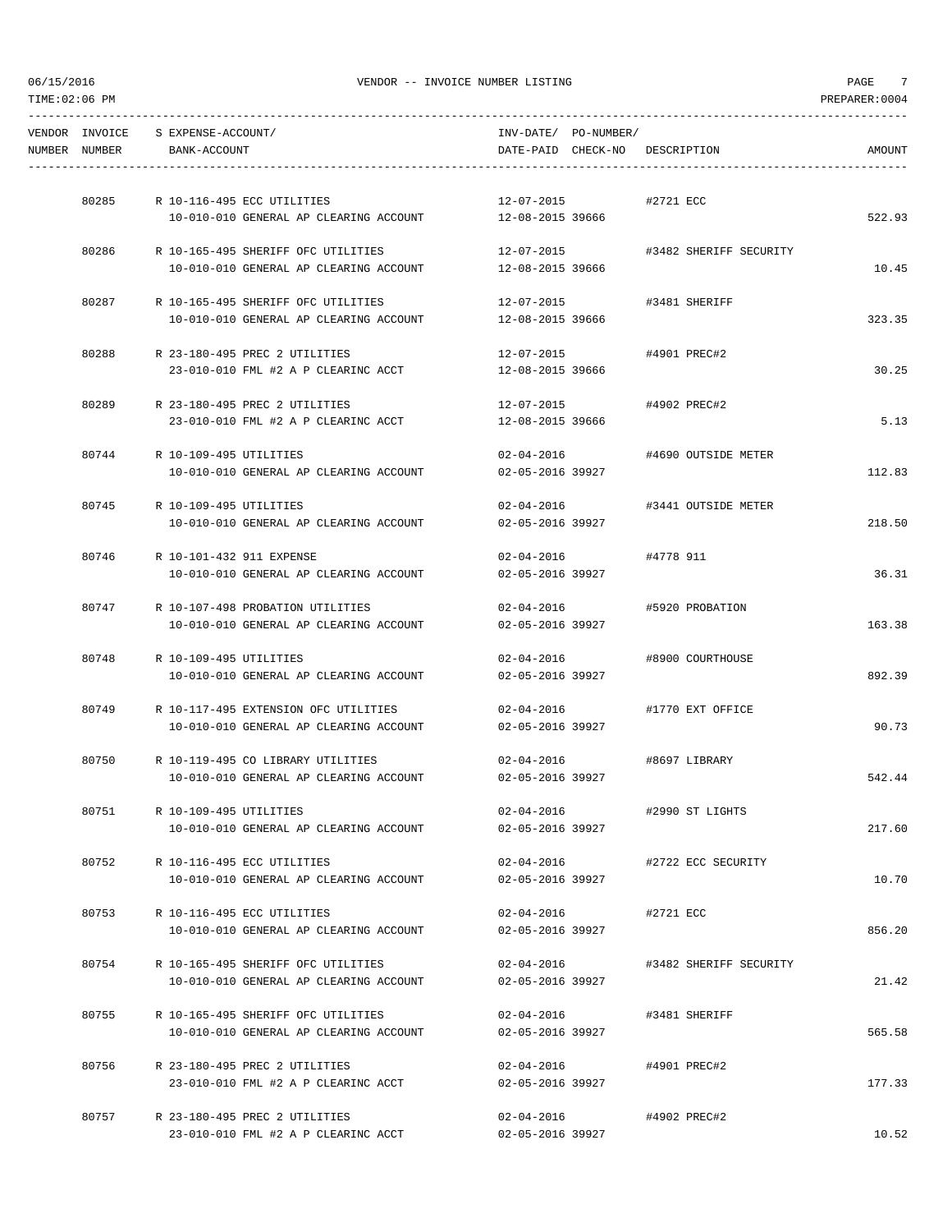-----------------------------------------------------------------------------------------------------------------------------------

| VENDOR INVOICE<br>NUMBER NUMBER | S EXPENSE-ACCOUNT/<br>BANK-ACCOUNT                                   | INV-DATE/ PO-NUMBER/<br>DATE-PAID CHECK-NO DESCRIPTION |                        | AMOUNT |
|---------------------------------|----------------------------------------------------------------------|--------------------------------------------------------|------------------------|--------|
|                                 |                                                                      |                                                        |                        |        |
| 80285                           | R 10-116-495 ECC UTILITIES<br>10-010-010 GENERAL AP CLEARING ACCOUNT | 12-07-2015<br>12-08-2015 39666                         | #2721 ECC              | 522.93 |
| 80286                           | R 10-165-495 SHERIFF OFC UTILITIES                                   | 12-07-2015                                             | #3482 SHERIFF SECURITY |        |
|                                 | 10-010-010 GENERAL AP CLEARING ACCOUNT                               | 12-08-2015 39666                                       |                        | 10.45  |
| 80287                           | R 10-165-495 SHERIFF OFC UTILITIES                                   | 12-07-2015                                             | #3481 SHERIFF          |        |
|                                 | 10-010-010 GENERAL AP CLEARING ACCOUNT                               | 12-08-2015 39666                                       |                        | 323.35 |
| 80288                           | R 23-180-495 PREC 2 UTILITIES                                        | 12-07-2015                                             | #4901 PREC#2           |        |
|                                 | 23-010-010 FML #2 A P CLEARINC ACCT                                  | 12-08-2015 39666                                       |                        | 30.25  |
| 80289                           | R 23-180-495 PREC 2 UTILITIES                                        | 12-07-2015                                             | #4902 PREC#2           |        |
|                                 | 23-010-010 FML #2 A P CLEARINC ACCT                                  | 12-08-2015 39666                                       |                        | 5.13   |
| 80744                           | R 10-109-495 UTILITIES                                               | $02 - 04 - 2016$                                       | #4690 OUTSIDE METER    |        |
|                                 | 10-010-010 GENERAL AP CLEARING ACCOUNT                               | 02-05-2016 39927                                       |                        | 112.83 |
| 80745                           | R 10-109-495 UTILITIES                                               | $02 - 04 - 2016$                                       | #3441 OUTSIDE METER    |        |
|                                 | 10-010-010 GENERAL AP CLEARING ACCOUNT                               | 02-05-2016 39927                                       |                        | 218.50 |
| 80746                           | R 10-101-432 911 EXPENSE                                             | $02 - 04 - 2016$                                       | #4778 911              |        |
|                                 | 10-010-010 GENERAL AP CLEARING ACCOUNT                               | 02-05-2016 39927                                       |                        | 36.31  |
| 80747                           | R 10-107-498 PROBATION UTILITIES                                     | $02 - 04 - 2016$                                       | #5920 PROBATION        |        |
|                                 | 10-010-010 GENERAL AP CLEARING ACCOUNT                               | 02-05-2016 39927                                       |                        | 163.38 |
| 80748                           | R 10-109-495 UTILITIES                                               | $02 - 04 - 2016$                                       | #8900 COURTHOUSE       |        |
|                                 | 10-010-010 GENERAL AP CLEARING ACCOUNT                               | 02-05-2016 39927                                       |                        | 892.39 |
| 80749                           | R 10-117-495 EXTENSION OFC UTILITIES                                 | $02 - 04 - 2016$                                       | #1770 EXT OFFICE       |        |
|                                 | 10-010-010 GENERAL AP CLEARING ACCOUNT                               | 02-05-2016 39927                                       |                        | 90.73  |
| 80750                           | R 10-119-495 CO LIBRARY UTILITIES                                    | $02 - 04 - 2016$                                       | #8697 LIBRARY          |        |
|                                 | 10-010-010 GENERAL AP CLEARING ACCOUNT                               | 02-05-2016 39927                                       |                        | 542.44 |
| 80751                           | R 10-109-495 UTILITIES                                               | $02 - 04 - 2016$                                       | #2990 ST LIGHTS        |        |
|                                 | 10-010-010 GENERAL AP CLEARING ACCOUNT                               | 02-05-2016 39927                                       |                        | 217.60 |
| 80752                           | R 10-116-495 ECC UTILITIES                                           | $02 - 04 - 2016$                                       | #2722 ECC SECURITY     |        |
|                                 | 10-010-010 GENERAL AP CLEARING ACCOUNT                               | 02-05-2016 39927                                       |                        | 10.70  |
| 80753                           | R 10-116-495 ECC UTILITIES                                           | 02-04-2016                                             | #2721 ECC              |        |
|                                 | 10-010-010 GENERAL AP CLEARING ACCOUNT                               | 02-05-2016 39927                                       |                        | 856.20 |
| 80754                           | R 10-165-495 SHERIFF OFC UTILITIES                                   | 02-04-2016                                             | #3482 SHERIFF SECURITY |        |
|                                 | 10-010-010 GENERAL AP CLEARING ACCOUNT                               | 02-05-2016 39927                                       |                        | 21.42  |
| 80755                           | R 10-165-495 SHERIFF OFC UTILITIES                                   | $02 - 04 - 2016$                                       | #3481 SHERIFF          |        |
|                                 | 10-010-010 GENERAL AP CLEARING ACCOUNT                               | 02-05-2016 39927                                       |                        | 565.58 |
| 80756                           | R 23-180-495 PREC 2 UTILITIES                                        | $02 - 04 - 2016$                                       | #4901 PREC#2           |        |
|                                 | 23-010-010 FML #2 A P CLEARINC ACCT                                  | 02-05-2016 39927                                       |                        | 177.33 |
| 80757                           | R 23-180-495 PREC 2 UTILITIES                                        | $02 - 04 - 2016$                                       | #4902 PREC#2           |        |
|                                 | 23-010-010 FML #2 A P CLEARINC ACCT                                  | 02-05-2016 39927                                       |                        | 10.52  |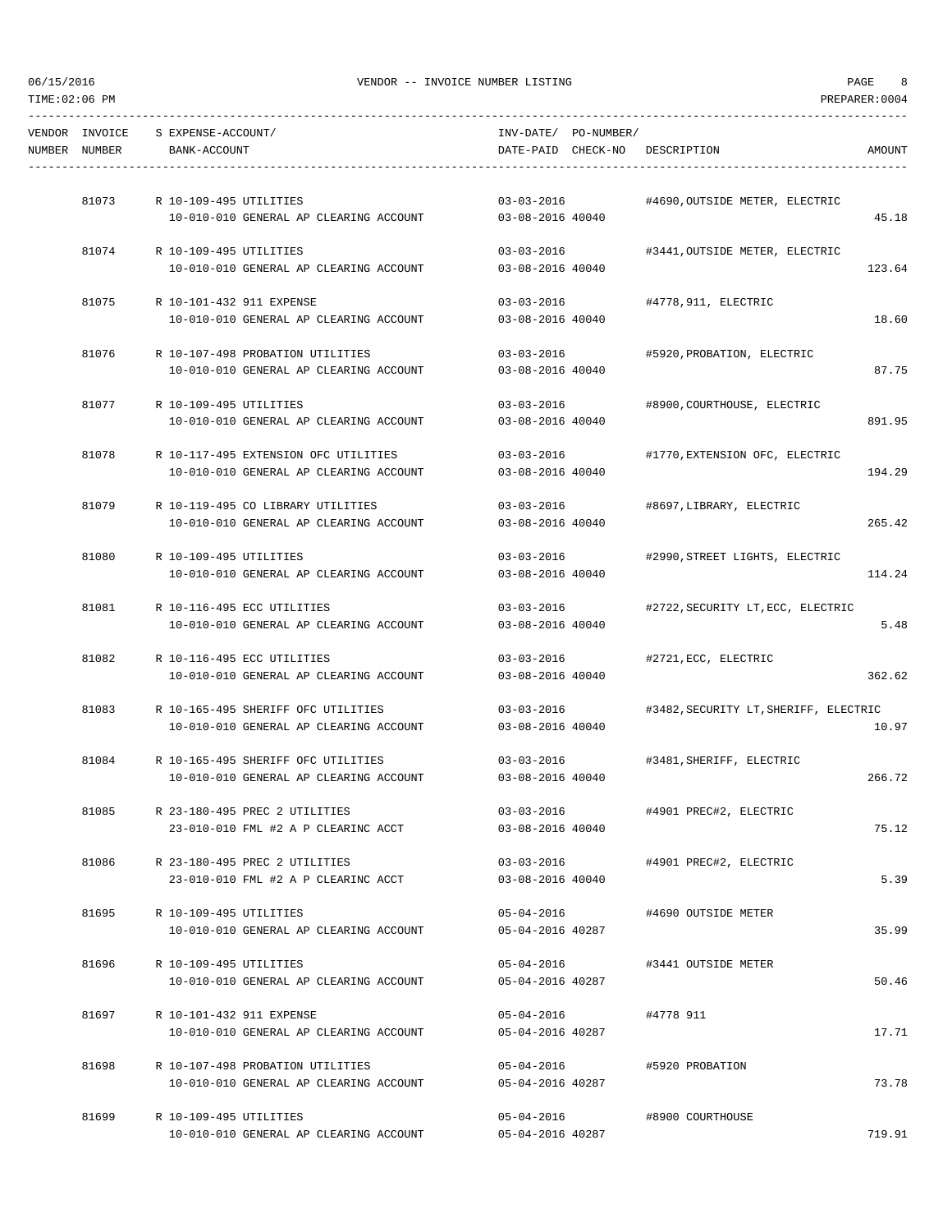|               | VENDOR INVOICE S EXPENSE-ACCOUNT/                                | INV-DATE/ PO-NUMBER/           |                                       |        |
|---------------|------------------------------------------------------------------|--------------------------------|---------------------------------------|--------|
| NUMBER NUMBER | BANK-ACCOUNT                                                     | DATE-PAID CHECK-NO DESCRIPTION |                                       | AMOUNT |
|               |                                                                  |                                |                                       |        |
|               |                                                                  | $03 - 03 - 2016$               |                                       |        |
|               | 81073 R 10-109-495 UTILITIES                                     |                                | #4690,OUTSIDE METER, ELECTRIC         |        |
|               | 10-010-010 GENERAL AP CLEARING ACCOUNT 03-08-2016 40040          |                                |                                       | 45.18  |
|               | 81074 R 10-109-495 UTILITIES                                     | 03-03-2016                     | #3441, OUTSIDE METER, ELECTRIC        |        |
|               | 10-010-010 GENERAL AP CLEARING ACCOUNT                           | 03-08-2016 40040               |                                       | 123.64 |
|               |                                                                  |                                |                                       |        |
|               | 81075 R 10-101-432 911 EXPENSE                                   | 03-03-2016 #4778,911, ELECTRIC |                                       |        |
|               | 10-010-010 GENERAL AP CLEARING ACCOUNT                           | 03-08-2016 40040               |                                       | 18.60  |
| 81076         | R 10-107-498 PROBATION UTILITIES                                 | $03 - 03 - 2016$               | #5920, PROBATION, ELECTRIC            |        |
|               | 10-010-010 GENERAL AP CLEARING ACCOUNT                           | 03-08-2016 40040               |                                       | 87.75  |
|               |                                                                  |                                |                                       |        |
|               | 81077 R 10-109-495 UTILITIES                                     | $03 - 03 - 2016$               | #8900, COURTHOUSE, ELECTRIC           |        |
|               | 10-010-010 GENERAL AP CLEARING ACCOUNT                           | 03-08-2016 40040               |                                       | 891.95 |
| 81078         | R 10-117-495 EXTENSION OFC UTILITIES                             | 03-03-2016                     | #1770, EXTENSION OFC, ELECTRIC        |        |
|               | 10-010-010 GENERAL AP CLEARING ACCOUNT                           | 03-08-2016 40040               |                                       | 194.29 |
|               |                                                                  |                                |                                       |        |
|               | 81079 R 10-119-495 CO LIBRARY UTILITIES                          |                                |                                       |        |
|               | 10-010-010 GENERAL AP CLEARING ACCOUNT                           | 03-08-2016 40040               |                                       | 265.42 |
|               |                                                                  |                                |                                       |        |
| 81080         | R 10-109-495 UTILITIES                                           | $03 - 03 - 2016$               | #2990, STREET LIGHTS, ELECTRIC        |        |
|               | 10-010-010 GENERAL AP CLEARING ACCOUNT                           | 03-08-2016 40040               |                                       | 114.24 |
| 81081         | R 10-116-495 ECC UTILITIES                                       | $03 - 03 - 2016$               | #2722, SECURITY LT, ECC, ELECTRIC     |        |
|               | 10-010-010 GENERAL AP CLEARING ACCOUNT                           | 03-08-2016 40040               |                                       | 5.48   |
|               |                                                                  |                                |                                       |        |
| 81082         | R 10-116-495 ECC UTILITIES                                       | $03 - 03 - 2016$               | #2721, ECC, ELECTRIC                  |        |
|               | 10-010-010 GENERAL AP CLEARING ACCOUNT                           | 03-08-2016 40040               |                                       | 362.62 |
|               | 81083 R 10-165-495 SHERIFF OFC UTILITIES                         | $03 - 03 - 2016$               | #3482, SECURITY LT, SHERIFF, ELECTRIC |        |
|               | 10-010-010 GENERAL AP CLEARING ACCOUNT                           | 03-08-2016 40040               |                                       | 10.97  |
|               |                                                                  |                                |                                       |        |
| 81084         | R 10-165-495 SHERIFF OFC UTILITIES                               |                                | 03-03-2016 #3481, SHERIFF, ELECTRIC   |        |
|               | 10-010-010 GENERAL AP CLEARING ACCOUNT                           | 03-08-2016 40040               |                                       | 266.72 |
| 81085         | R 23-180-495 PREC 2 UTILITIES                                    | $03 - 03 - 2016$               | #4901 PREC#2, ELECTRIC                |        |
|               | 23-010-010 FML #2 A P CLEARINC ACCT                              | 03-08-2016 40040               |                                       | 75.12  |
|               |                                                                  |                                |                                       |        |
| 81086         | R 23-180-495 PREC 2 UTILITIES                                    | $03 - 03 - 2016$               | #4901 PREC#2, ELECTRIC                |        |
|               | 23-010-010 FML #2 A P CLEARINC ACCT                              | $03 - 08 - 2016$ 40040         |                                       | 5.39   |
|               |                                                                  |                                |                                       |        |
| 81695         | R 10-109-495 UTILITIES<br>10-010-010 GENERAL AP CLEARING ACCOUNT | 05-04-2016<br>05-04-2016 40287 | #4690 OUTSIDE METER                   | 35.99  |
|               |                                                                  |                                |                                       |        |
| 81696         | R 10-109-495 UTILITIES                                           | $05 - 04 - 2016$               | #3441 OUTSIDE METER                   |        |
|               | 10-010-010 GENERAL AP CLEARING ACCOUNT                           | 05-04-2016 40287               |                                       | 50.46  |
|               |                                                                  |                                |                                       |        |
| 81697         | R 10-101-432 911 EXPENSE                                         | 05-04-2016                     | #4778 911                             |        |
|               | 10-010-010 GENERAL AP CLEARING ACCOUNT                           | 05-04-2016 40287               |                                       | 17.71  |
| 81698         | R 10-107-498 PROBATION UTILITIES                                 | 05-04-2016                     | #5920 PROBATION                       |        |
|               | 10-010-010 GENERAL AP CLEARING ACCOUNT                           | 05-04-2016 40287               |                                       | 73.78  |
|               |                                                                  |                                |                                       |        |
| 81699         | R 10-109-495 UTILITIES                                           | $05 - 04 - 2016$               | #8900 COURTHOUSE                      |        |

10-010-010 GENERAL AP CLEARING ACCOUNT 05-04-2016 40287 719.91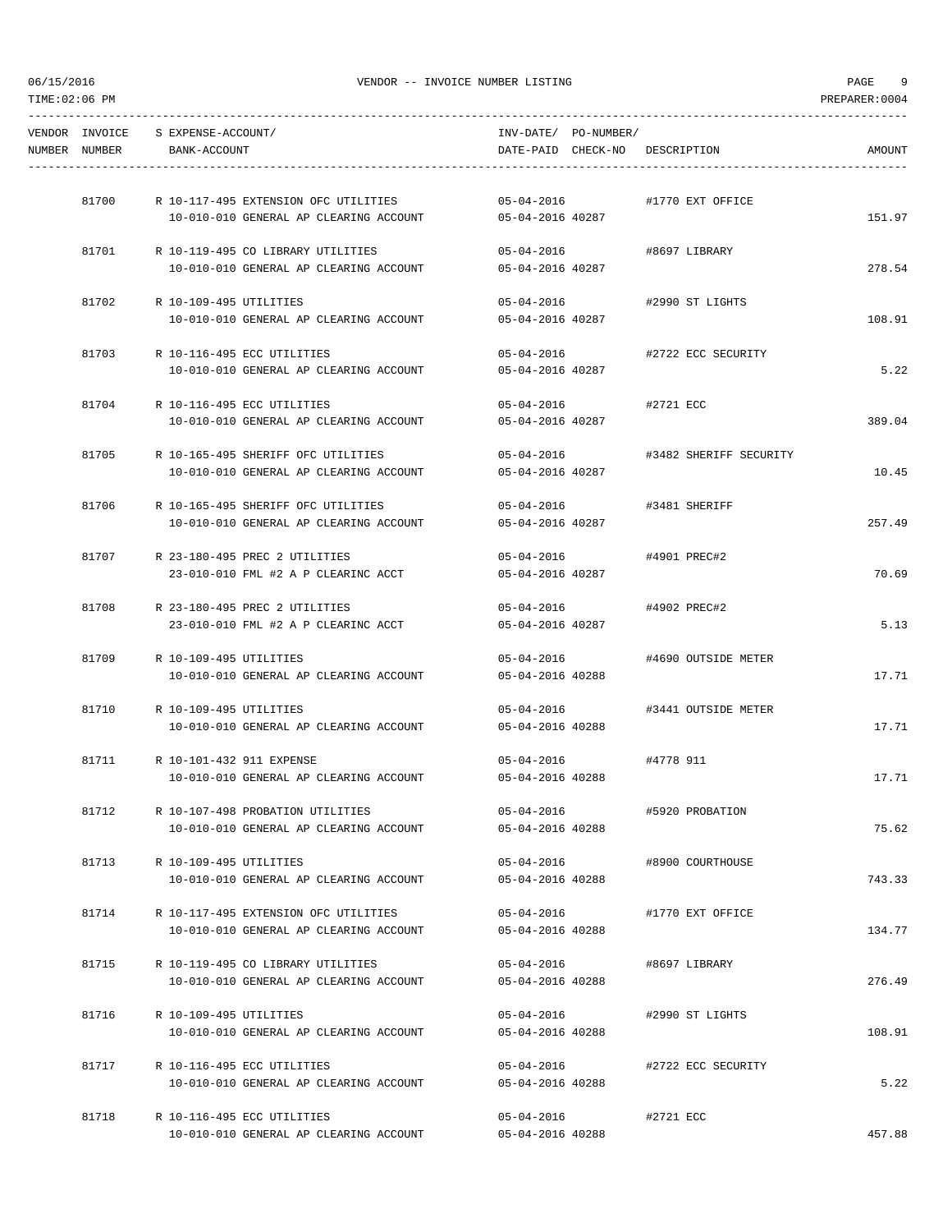|               | VENDOR INVOICE S EXPENSE-ACCOUNT/                                          | INV-DATE/ PO-NUMBER/                 |                        |        |
|---------------|----------------------------------------------------------------------------|--------------------------------------|------------------------|--------|
| NUMBER NUMBER | BANK-ACCOUNT                                                               | DATE-PAID CHECK-NO DESCRIPTION       |                        | AMOUNT |
|               |                                                                            |                                      |                        |        |
| 81700         | R 10-117-495 EXTENSION OFC UTILITIES                                       | $05 - 04 - 2016$                     | #1770 EXT OFFICE       |        |
|               | 10-010-010 GENERAL AP CLEARING ACCOUNT                                     | 05-04-2016 40287                     |                        | 151.97 |
| 81701         | R 10-119-495 CO LIBRARY UTILITIES                                          | 05-04-2016                           | #8697 LIBRARY          |        |
|               | 10-010-010 GENERAL AP CLEARING ACCOUNT                                     | 05-04-2016 40287                     |                        | 278.54 |
|               | 81702 R 10-109-495 UTILITIES                                               | $05 - 04 - 2016$                     | #2990 ST LIGHTS        |        |
|               | 10-010-010 GENERAL AP CLEARING ACCOUNT                                     | 05-04-2016 40287                     |                        | 108.91 |
|               |                                                                            |                                      |                        |        |
|               | 81703 R 10-116-495 ECC UTILITIES<br>10-010-010 GENERAL AP CLEARING ACCOUNT | $05 - 04 - 2016$<br>05-04-2016 40287 | #2722 ECC SECURITY     | 5.22   |
|               |                                                                            |                                      |                        |        |
|               | 81704 R 10-116-495 ECC UTILITIES                                           | 05-04-2016 #2721 ECC                 |                        |        |
|               | 10-010-010 GENERAL AP CLEARING ACCOUNT 05-04-2016 40287                    |                                      |                        | 389.04 |
| 81705         | R 10-165-495 SHERIFF OFC UTILITIES                                         | $05 - 04 - 2016$                     | #3482 SHERIFF SECURITY |        |
|               | 10-010-010 GENERAL AP CLEARING ACCOUNT                                     | 05-04-2016 40287                     |                        | 10.45  |
|               | 81706 R 10-165-495 SHERIFF OFC UTILITIES                                   | 05-04-2016 #3481 SHERIFF             |                        |        |
|               | 10-010-010 GENERAL AP CLEARING ACCOUNT                                     | 05-04-2016 40287                     |                        | 257.49 |
|               | 81707 R 23-180-495 PREC 2 UTILITIES                                        | $05 - 04 - 2016$                     | #4901 PREC#2           |        |
|               | 23-010-010 FML #2 A P CLEARINC ACCT                                        | 05-04-2016 40287                     |                        | 70.69  |
|               |                                                                            |                                      |                        |        |
| 81708         | R 23-180-495 PREC 2 UTILITIES<br>23-010-010 FML #2 A P CLEARINC ACCT       | $05 - 04 - 2016$<br>05-04-2016 40287 | #4902 PREC#2           | 5.13   |
|               |                                                                            |                                      |                        |        |
| 81709         | R 10-109-495 UTILITIES                                                     | 05-04-2016                           | #4690 OUTSIDE METER    |        |
|               | 10-010-010 GENERAL AP CLEARING ACCOUNT                                     | 05-04-2016 40288                     |                        | 17.71  |
|               | 81710 R 10-109-495 UTILITIES                                               | $05 - 04 - 2016$                     | #3441 OUTSIDE METER    |        |
|               | 10-010-010 GENERAL AP CLEARING ACCOUNT                                     | 05-04-2016 40288                     |                        | 17.71  |
|               | 81711 R 10-101-432 911 EXPENSE                                             | $05 - 04 - 2016$                     | #4778 911              |        |
|               | 10-010-010 GENERAL AP CLEARING ACCOUNT                                     | 05-04-2016 40288                     |                        | 17.71  |
| 81712         | R 10-107-498 PROBATION UTILITIES                                           | 05-04-2016                           | #5920 PROBATION        |        |
|               | 10-010-010 GENERAL AP CLEARING ACCOUNT                                     | 05-04-2016 40288                     |                        | 75.62  |
|               |                                                                            |                                      |                        |        |
| 81713         | R 10-109-495 UTILITIES<br>10-010-010 GENERAL AP CLEARING ACCOUNT           | $05 - 04 - 2016$<br>05-04-2016 40288 | #8900 COURTHOUSE       | 743.33 |
|               |                                                                            |                                      |                        |        |
| 81714         | R 10-117-495 EXTENSION OFC UTILITIES                                       | $05 - 04 - 2016$                     | #1770 EXT OFFICE       |        |
|               | 10-010-010 GENERAL AP CLEARING ACCOUNT                                     | 05-04-2016 40288                     |                        | 134.77 |
|               | 81715 R 10-119-495 CO LIBRARY UTILITIES                                    | $05 - 04 - 2016$                     | #8697 LIBRARY          |        |
|               | 10-010-010 GENERAL AP CLEARING ACCOUNT                                     | 05-04-2016 40288                     |                        | 276.49 |
| 81716         | R 10-109-495 UTILITIES                                                     | 05-04-2016                           | #2990 ST LIGHTS        |        |
|               | 10-010-010 GENERAL AP CLEARING ACCOUNT                                     | 05-04-2016 40288                     |                        | 108.91 |
| 81717         | R 10-116-495 ECC UTILITIES                                                 |                                      |                        |        |
|               | 10-010-010 GENERAL AP CLEARING ACCOUNT                                     | 05-04-2016<br>05-04-2016 40288       | #2722 ECC SECURITY     | 5.22   |
|               |                                                                            |                                      |                        |        |
| 81718         | R 10-116-495 ECC UTILITIES<br>10-010-010 GENERAL AP CLEARING ACCOUNT       | 05-04-2016<br>05-04-2016 40288       | #2721 ECC              | 457.88 |
|               |                                                                            |                                      |                        |        |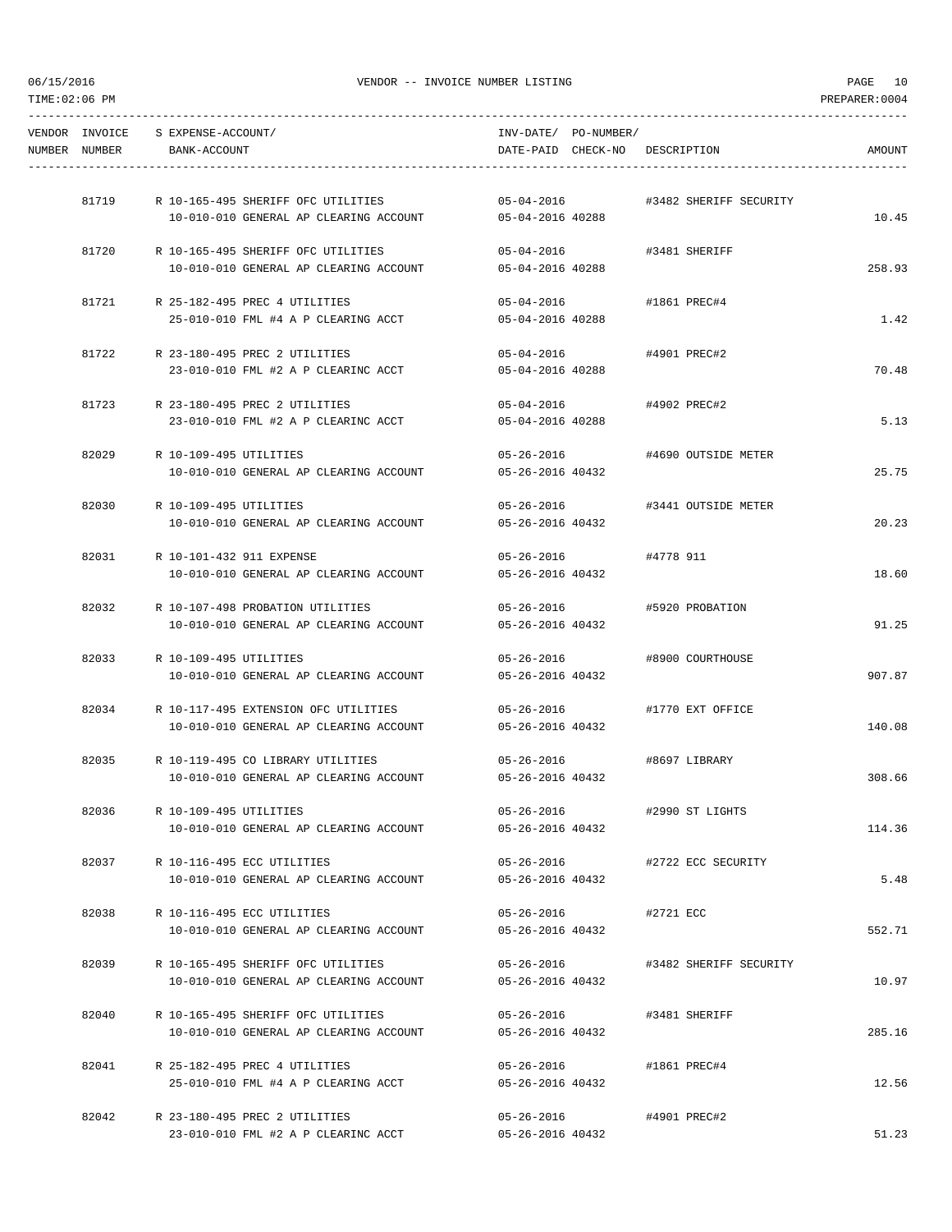|               | VENDOR INVOICE S EXPENSE-ACCOUNT/   |                                            | INV-DATE/ PO-NUMBER/           |                                  |               |
|---------------|-------------------------------------|--------------------------------------------|--------------------------------|----------------------------------|---------------|
| NUMBER NUMBER | BANK-ACCOUNT                        |                                            |                                | DATE-PAID CHECK-NO DESCRIPTION   | <b>AMOUNT</b> |
|               |                                     |                                            |                                |                                  |               |
| 81719         |                                     | R 10-165-495 SHERIFF OFC UTILITIES         | $05 - 04 - 2016$               | #3482 SHERIFF SECURITY           |               |
|               |                                     | 10-010-010 GENERAL AP CLEARING ACCOUNT     | 05-04-2016 40288               |                                  | 10.45         |
|               |                                     | 81720 R 10-165-495 SHERIFF OFC UTILITIES   | $05 - 04 - 2016$               | #3481 SHERIFF                    |               |
|               |                                     | 10-010-010 GENERAL AP CLEARING ACCOUNT     | 05-04-2016 40288               |                                  | 258.93        |
| 81721         | R 25-182-495 PREC 4 UTILITIES       |                                            | $05 - 04 - 2016$               | #1861 PREC#4                     |               |
|               |                                     | 25-010-010 FML #4 A P CLEARING ACCT        | 05-04-2016 40288               |                                  | 1.42          |
|               | 81722 R 23-180-495 PREC 2 UTILITIES |                                            | $05 - 04 - 2016$               | #4901 PREC#2                     |               |
|               |                                     | 23-010-010 FML #2 A P CLEARINC ACCT        | 05-04-2016 40288               |                                  | 70.48         |
| 81723         | R 23-180-495 PREC 2 UTILITIES       |                                            | $05 - 04 - 2016$               | #4902 PREC#2                     |               |
|               |                                     | 23-010-010 FML #2 A P CLEARINC ACCT        | 05-04-2016 40288               |                                  | 5.13          |
| 82029         | R 10-109-495 UTILITIES              |                                            | 05-26-2016                     | #4690 OUTSIDE METER              |               |
|               |                                     | 10-010-010 GENERAL AP CLEARING ACCOUNT     | 05-26-2016 40432               |                                  | 25.75         |
|               | 82030 R 10-109-495 UTILITIES        |                                            |                                | 05-26-2016   #3441 OUTSIDE METER |               |
|               |                                     | 10-010-010 GENERAL AP CLEARING ACCOUNT     | 05-26-2016 40432               |                                  | 20.23         |
|               |                                     |                                            |                                |                                  |               |
|               | 82031 R 10-101-432 911 EXPENSE      | 10-010-010 GENERAL AP CLEARING ACCOUNT     | $05 - 26 - 2016$               | #4778 911                        | 18.60         |
|               |                                     |                                            | 05-26-2016 40432               |                                  |               |
| 82032         |                                     | R 10-107-498 PROBATION UTILITIES           |                                | 05-26-2016 #5920 PROBATION       |               |
|               |                                     | 10-010-010 GENERAL AP CLEARING ACCOUNT     | 05-26-2016 40432               |                                  | 91.25         |
| 82033         | R 10-109-495 UTILITIES              |                                            | 05-26-2016                     | #8900 COURTHOUSE                 |               |
|               |                                     | 10-010-010 GENERAL AP CLEARING ACCOUNT     | 05-26-2016 40432               |                                  | 907.87        |
|               |                                     | 82034 R 10-117-495 EXTENSION OFC UTILITIES | $05 - 26 - 2016$               | #1770 EXT OFFICE                 |               |
|               |                                     | 10-010-010 GENERAL AP CLEARING ACCOUNT     | 05-26-2016 40432               |                                  | 140.08        |
| 82035         |                                     | R 10-119-495 CO LIBRARY UTILITIES          | $05 - 26 - 2016$               | #8697 LIBRARY                    |               |
|               |                                     | 10-010-010 GENERAL AP CLEARING ACCOUNT     | 05-26-2016 40432               |                                  | 308.66        |
| 82036         | R 10-109-495 UTILITIES              |                                            | $05 - 26 - 2016$               | #2990 ST LIGHTS                  |               |
|               |                                     | 10-010-010 GENERAL AP CLEARING ACCOUNT     | 05-26-2016 40432               |                                  | 114.36        |
|               | R 10-116-495 ECC UTILITIES          |                                            |                                |                                  |               |
| 82037         |                                     | 10-010-010 GENERAL AP CLEARING ACCOUNT     | 05-26-2016<br>05-26-2016 40432 | #2722 ECC SECURITY               | 5.48          |
|               |                                     |                                            |                                |                                  |               |
| 82038         | R 10-116-495 ECC UTILITIES          |                                            | $05 - 26 - 2016$               | #2721 ECC                        |               |
|               |                                     | 10-010-010 GENERAL AP CLEARING ACCOUNT     | 05-26-2016 40432               |                                  | 552.71        |
| 82039         |                                     | R 10-165-495 SHERIFF OFC UTILITIES         | 05-26-2016                     | #3482 SHERIFF SECURITY           |               |
|               |                                     | 10-010-010 GENERAL AP CLEARING ACCOUNT     | 05-26-2016 40432               |                                  | 10.97         |
| 82040         |                                     | R 10-165-495 SHERIFF OFC UTILITIES         | 05-26-2016                     | #3481 SHERIFF                    |               |
|               |                                     | 10-010-010 GENERAL AP CLEARING ACCOUNT     | 05-26-2016 40432               |                                  | 285.16        |
| 82041         | R 25-182-495 PREC 4 UTILITIES       |                                            | $05 - 26 - 2016$               | #1861 PREC#4                     |               |
|               |                                     | 25-010-010 FML #4 A P CLEARING ACCT        | 05-26-2016 40432               |                                  | 12.56         |
| 82042         | R 23-180-495 PREC 2 UTILITIES       |                                            | 05-26-2016                     | #4901 PREC#2                     |               |
|               |                                     | 23-010-010 FML #2 A P CLEARINC ACCT        | 05-26-2016 40432               |                                  | 51.23         |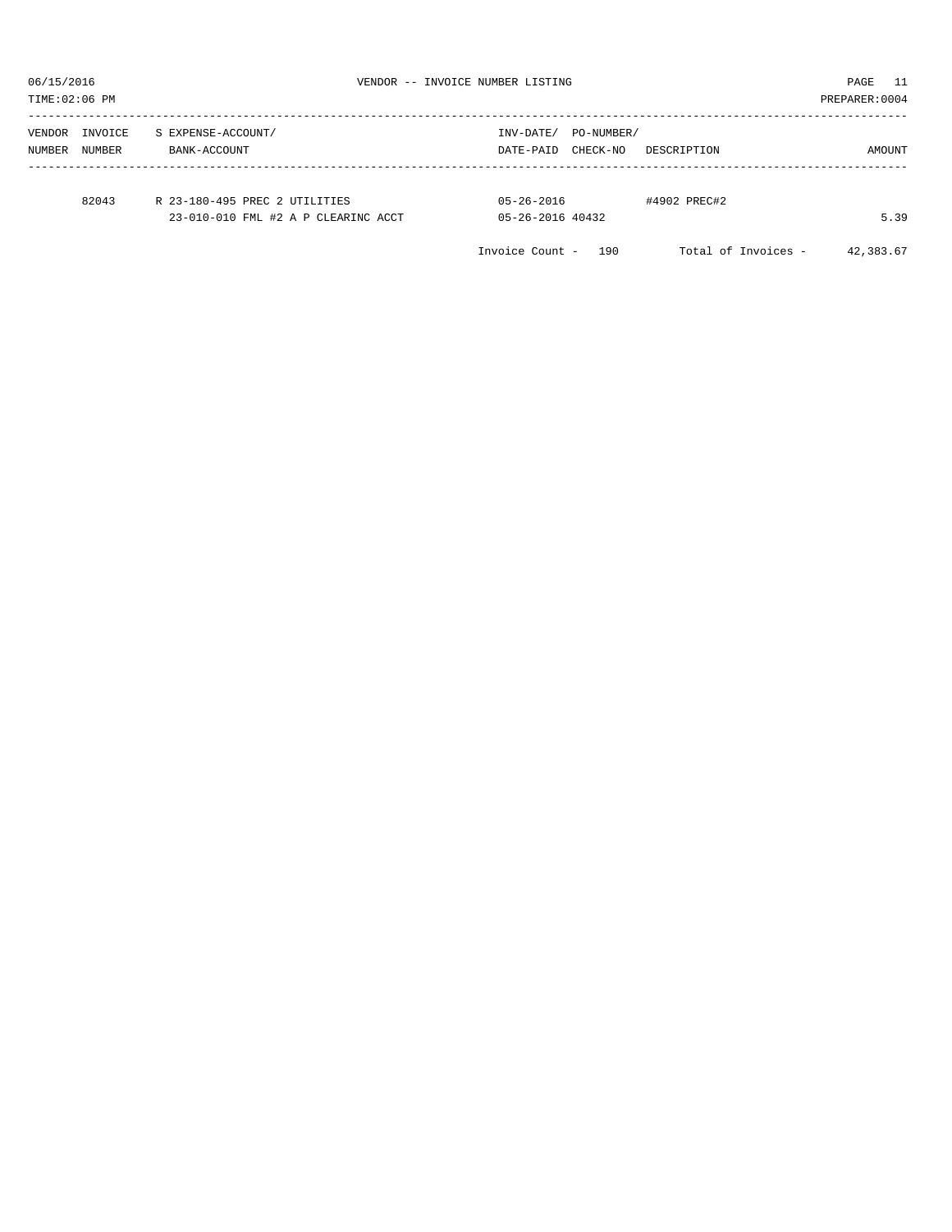TIME:02:06 PM PREPARER:0004 ----------------------------------------------------------------------------------------------------------------------------------- VENDOR INVOICE S EXPENSE-ACCOUNT/ NUMBER NUMBER BANK-ACCOUNT DATE-PAID CHECK-NO DESCRIPTION AMOUNT ----------------------------------------------------------------------------------------------------------------------------------- 82043 R 23-180-495 PREC 2 UTILITIES 05-26-2016 +4902 PREC#2<br>23-010-010 FML #2 A P CLEARINC ACCT 05-26-2016 40432 23-010-010 FML #2 A P CLEARINC ACCT 05-26-2016 40432 40000 FML #2 A P CLEARINC ACCT Invoice Count - 190 Total of Invoices - 42,383.67